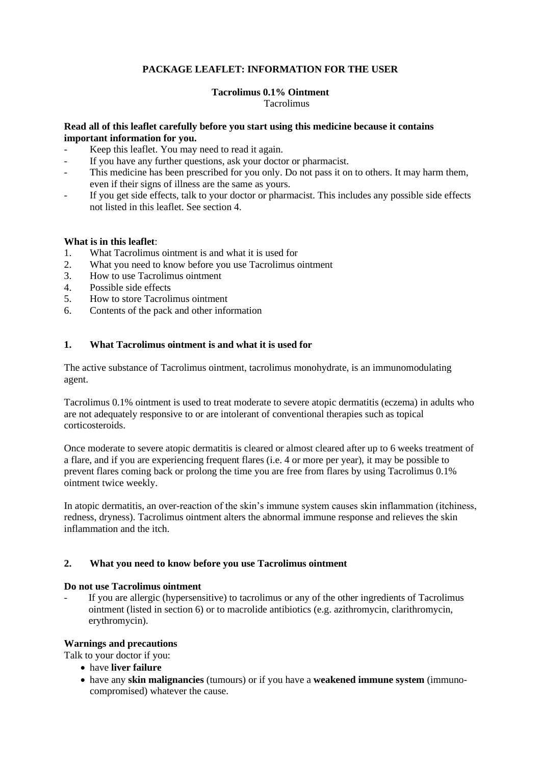# **PACKAGE LEAFLET: INFORMATION FOR THE USER**

## **Tacrolimus 0.1% Ointment**

Tacrolimus

## **Read all of this leaflet carefully before you start using this medicine because it contains important information for you.**

- Keep this leaflet. You may need to read it again.
- If you have any further questions, ask your doctor or pharmacist.
- This medicine has been prescribed for you only. Do not pass it on to others. It may harm them, even if their signs of illness are the same as yours.
- If you get side effects, talk to your doctor or pharmacist. This includes any possible side effects not listed in this leaflet. See section 4.

## **What is in this leaflet**:

- 1. What Tacrolimus ointment is and what it is used for<br>2. What you need to know before you use Tacrolimus of
- What you need to know before you use Tacrolimus ointment
- 3. How to use Tacrolimus ointment
- 4. Possible side effects
- 5. How to store Tacrolimus ointment
- 6. Contents of the pack and other information

## **1. What Tacrolimus ointment is and what it is used for**

The active substance of Tacrolimus ointment, tacrolimus monohydrate, is an immunomodulating agent.

Tacrolimus 0.1% ointment is used to treat moderate to severe atopic dermatitis (eczema) in adults who are not adequately responsive to or are intolerant of conventional therapies such as topical corticosteroids.

Once moderate to severe atopic dermatitis is cleared or almost cleared after up to 6 weeks treatment of a flare, and if you are experiencing frequent flares (i.e. 4 or more per year), it may be possible to prevent flares coming back or prolong the time you are free from flares by using Tacrolimus 0.1% ointment twice weekly.

In atopic dermatitis, an over-reaction of the skin's immune system causes skin inflammation (itchiness, redness, dryness). Tacrolimus ointment alters the abnormal immune response and relieves the skin inflammation and the itch.

# **2. What you need to know before you use Tacrolimus ointment**

## **Do not use Tacrolimus ointment**

If you are allergic (hypersensitive) to tacrolimus or any of the other ingredients of Tacrolimus ointment (listed in section 6) or to macrolide antibiotics (e.g. azithromycin, clarithromycin, erythromycin).

## **Warnings and precautions**

Talk to your doctor if you:

- have **liver failure**
- have any **skin malignancies** (tumours) or if you have a **weakened immune system** (immunocompromised) whatever the cause.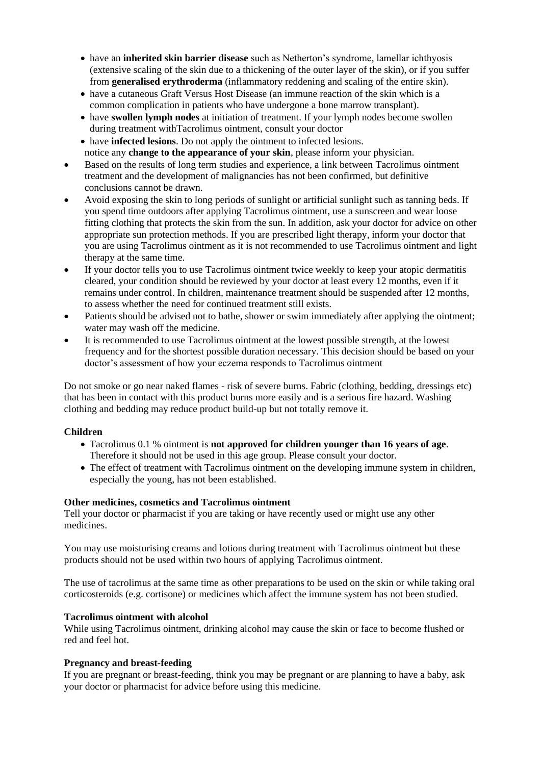- have an **inherited skin barrier disease** such as Netherton's syndrome, lamellar ichthyosis (extensive scaling of the skin due to a thickening of the outer layer of the skin), or if you suffer from **generalised erythroderma** (inflammatory reddening and scaling of the entire skin).
- have a cutaneous Graft Versus Host Disease (an immune reaction of the skin which is a common complication in patients who have undergone a bone marrow transplant).
- have **swollen lymph nodes** at initiation of treatment. If your lymph nodes become swollen during treatment withTacrolimus ointment, consult your doctor
- have **infected lesions**. Do not apply the ointment to infected lesions. notice any **change to the appearance of your skin**, please inform your physician.
- Based on the results of long term studies and experience, a link between Tacrolimus ointment treatment and the development of malignancies has not been confirmed, but definitive conclusions cannot be drawn.
- Avoid exposing the skin to long periods of sunlight or artificial sunlight such as tanning beds. If you spend time outdoors after applying Tacrolimus ointment, use a sunscreen and wear loose fitting clothing that protects the skin from the sun. In addition, ask your doctor for advice on other appropriate sun protection methods. If you are prescribed light therapy, inform your doctor that you are using Tacrolimus ointment as it is not recommended to use Tacrolimus ointment and light therapy at the same time.
- If your doctor tells you to use Tacrolimus ointment twice weekly to keep your atopic dermatitis cleared, your condition should be reviewed by your doctor at least every 12 months, even if it remains under control. In children, maintenance treatment should be suspended after 12 months, to assess whether the need for continued treatment still exists.
- Patients should be advised not to bathe, shower or swim immediately after applying the ointment; water may wash off the medicine.
- It is recommended to use Tacrolimus ointment at the lowest possible strength, at the lowest frequency and for the shortest possible duration necessary. This decision should be based on your doctor's assessment of how your eczema responds to Tacrolimus ointment

Do not smoke or go near naked flames - risk of severe burns. Fabric (clothing, bedding, dressings etc) that has been in contact with this product burns more easily and is a serious fire hazard. Washing clothing and bedding may reduce product build-up but not totally remove it.

## **Children**

- Tacrolimus 0.1 % ointment is **not approved for children younger than 16 years of age**. Therefore it should not be used in this age group. Please consult your doctor.
- The effect of treatment with Tacrolimus ointment on the developing immune system in children, especially the young, has not been established.

# **Other medicines, cosmetics and Tacrolimus ointment**

Tell your doctor or pharmacist if you are taking or have recently used or might use any other medicines.

You may use moisturising creams and lotions during treatment with Tacrolimus ointment but these products should not be used within two hours of applying Tacrolimus ointment.

The use of tacrolimus at the same time as other preparations to be used on the skin or while taking oral corticosteroids (e.g. cortisone) or medicines which affect the immune system has not been studied.

## **Tacrolimus ointment with alcohol**

While using Tacrolimus ointment, drinking alcohol may cause the skin or face to become flushed or red and feel hot.

## **Pregnancy and breast-feeding**

If you are pregnant or breast-feeding, think you may be pregnant or are planning to have a baby, ask your doctor or pharmacist for advice before using this medicine.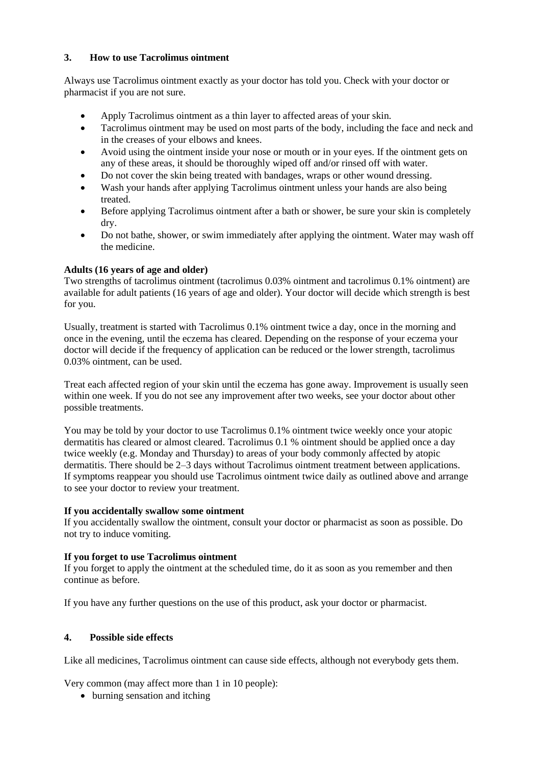# **3. How to use Tacrolimus ointment**

Always use Tacrolimus ointment exactly as your doctor has told you. Check with your doctor or pharmacist if you are not sure.

- Apply Tacrolimus ointment as a thin layer to affected areas of your skin.
- Tacrolimus ointment may be used on most parts of the body, including the face and neck and in the creases of your elbows and knees.
- Avoid using the ointment inside your nose or mouth or in your eyes. If the ointment gets on any of these areas, it should be thoroughly wiped off and/or rinsed off with water.
- Do not cover the skin being treated with bandages, wraps or other wound dressing.
- Wash your hands after applying Tacrolimus ointment unless your hands are also being treated.
- Before applying Tacrolimus ointment after a bath or shower, be sure your skin is completely dry.
- Do not bathe, shower, or swim immediately after applying the ointment. Water may wash off the medicine.

## **Adults (16 years of age and older)**

Two strengths of tacrolimus ointment (tacrolimus 0.03% ointment and tacrolimus 0.1% ointment) are available for adult patients (16 years of age and older). Your doctor will decide which strength is best for you.

Usually, treatment is started with Tacrolimus 0.1% ointment twice a day, once in the morning and once in the evening, until the eczema has cleared. Depending on the response of your eczema your doctor will decide if the frequency of application can be reduced or the lower strength, tacrolimus 0.03% ointment, can be used.

Treat each affected region of your skin until the eczema has gone away. Improvement is usually seen within one week. If you do not see any improvement after two weeks, see your doctor about other possible treatments.

You may be told by your doctor to use Tacrolimus 0.1% ointment twice weekly once your atopic dermatitis has cleared or almost cleared. Tacrolimus 0.1 % ointment should be applied once a day twice weekly (e.g. Monday and Thursday) to areas of your body commonly affected by atopic dermatitis. There should be 2–3 days without Tacrolimus ointment treatment between applications. If symptoms reappear you should use Tacrolimus ointment twice daily as outlined above and arrange to see your doctor to review your treatment.

## **If you accidentally swallow some ointment**

If you accidentally swallow the ointment, consult your doctor or pharmacist as soon as possible. Do not try to induce vomiting.

## **If you forget to use Tacrolimus ointment**

If you forget to apply the ointment at the scheduled time, do it as soon as you remember and then continue as before.

If you have any further questions on the use of this product, ask your doctor or pharmacist.

# **4. Possible side effects**

Like all medicines, Tacrolimus ointment can cause side effects, although not everybody gets them.

Very common (may affect more than 1 in 10 people):

• burning sensation and itching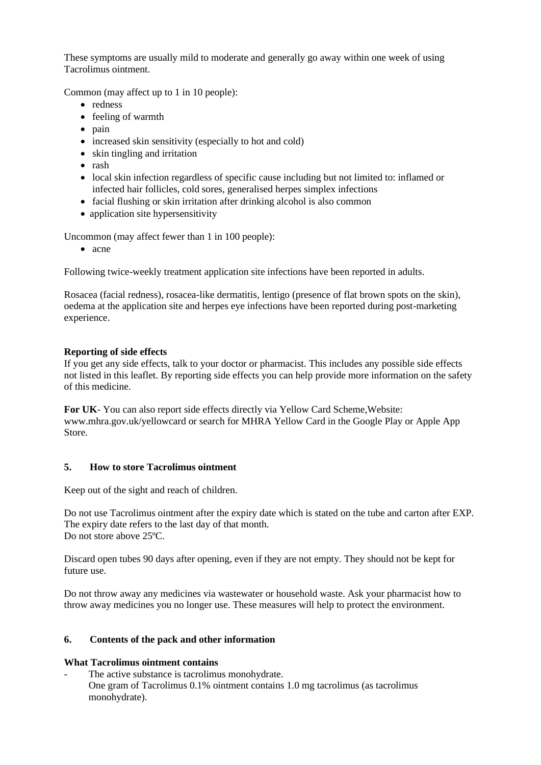These symptoms are usually mild to moderate and generally go away within one week of using Tacrolimus ointment.

Common (may affect up to 1 in 10 people):

- redness
- feeling of warmth
- pain
- increased skin sensitivity (especially to hot and cold)
- skin tingling and irritation
- rash
- local skin infection regardless of specific cause including but not limited to: inflamed or infected hair follicles, cold sores, generalised herpes simplex infections
- facial flushing or skin irritation after drinking alcohol is also common
- application site hypersensitivity

Uncommon (may affect fewer than 1 in 100 people):

• acne

Following twice-weekly treatment application site infections have been reported in adults.

Rosacea (facial redness), rosacea-like dermatitis, lentigo (presence of flat brown spots on the skin), oedema at the application site and herpes eye infections have been reported during post-marketing experience.

## **Reporting of side effects**

If you get any side effects, talk to your doctor or pharmacist. This includes any possible side effects not listed in this leaflet. By reporting side effects you can help provide more information on the safety of this medicine.

**For UK**- You can also report side effects directly via Yellow Card Scheme,Website: www.mhra.gov.uk/yellowcard or search for MHRA Yellow Card in the Google Play or Apple App Store.

## **5. How to store Tacrolimus ointment**

Keep out of the sight and reach of children.

Do not use Tacrolimus ointment after the expiry date which is stated on the tube and carton after EXP. The expiry date refers to the last day of that month. Do not store above 25ºC.

Discard open tubes 90 days after opening, even if they are not empty. They should not be kept for future use.

Do not throw away any medicines via wastewater or household waste. Ask your pharmacist how to throw away medicines you no longer use. These measures will help to protect the environment.

## **6. Contents of the pack and other information**

## **What Tacrolimus ointment contains**

The active substance is tacrolimus monohydrate. One gram of Tacrolimus 0.1% ointment contains 1.0 mg tacrolimus (as tacrolimus monohydrate).